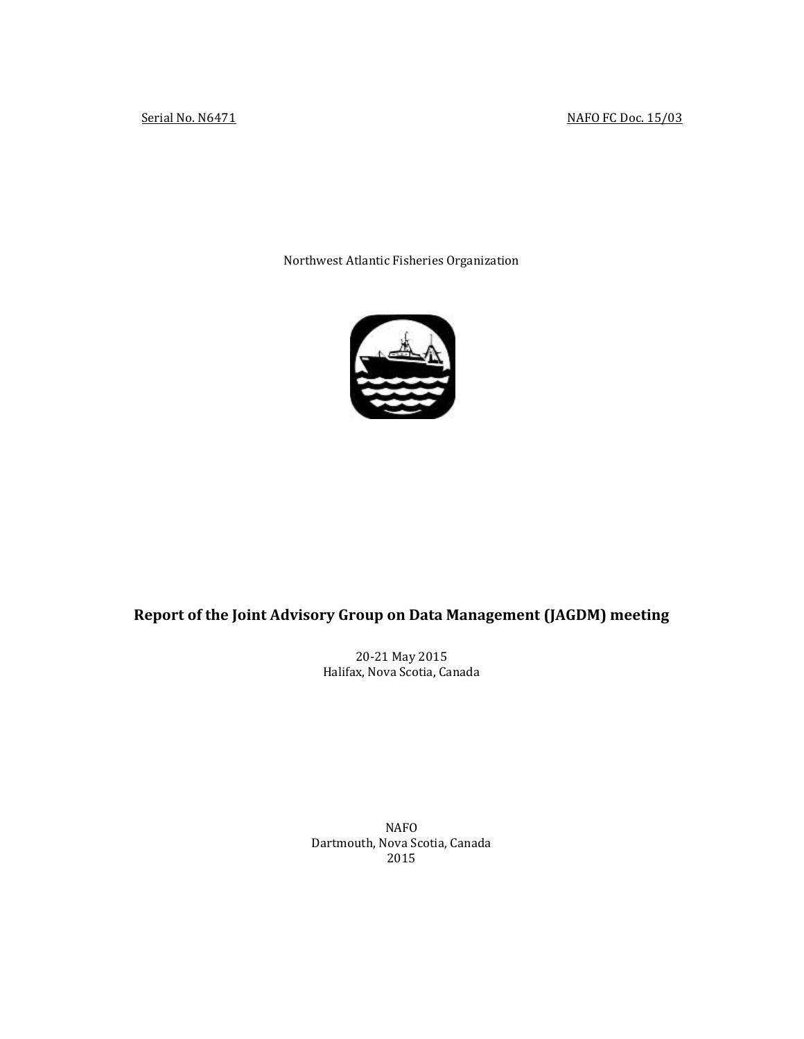## Serial No. N6471 NAFO FC Doc. 15/03

Northwest Atlantic Fisheries Organization



# **Report of the Joint Advisory Group on Data Management (JAGDM) meeting**

20-21 May 2015 Halifax, Nova Scotia, Canada

NAFO Dartmouth, Nova Scotia, Canada 2015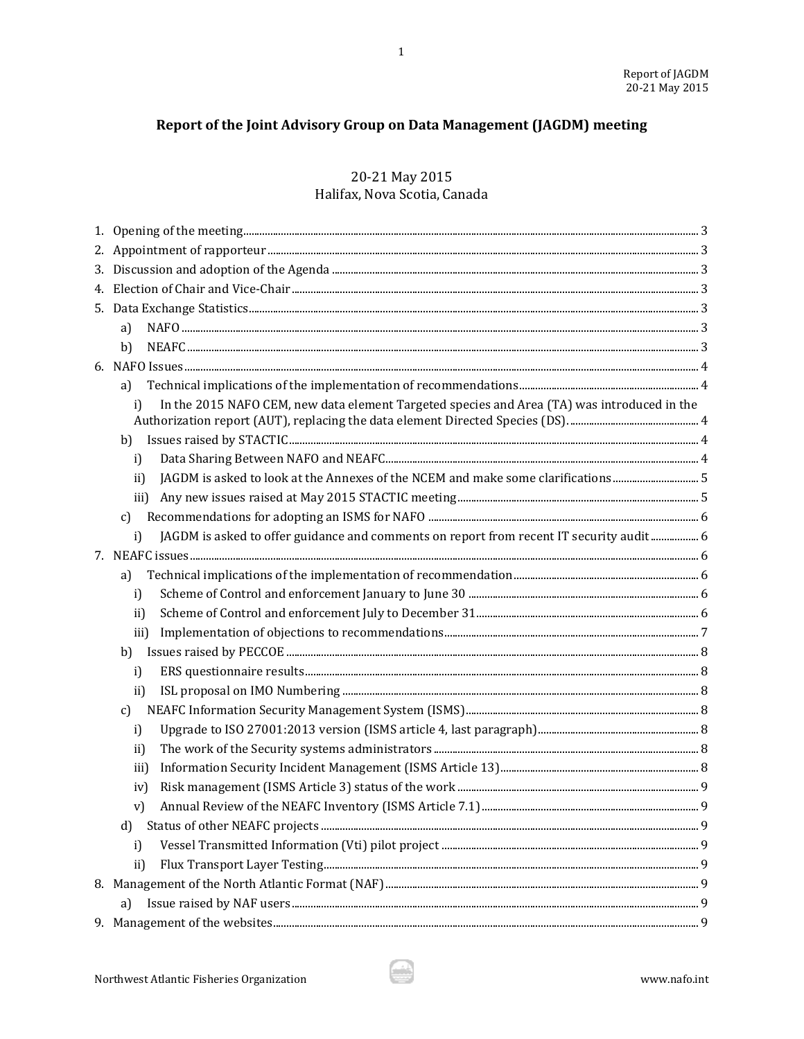# Report of the Joint Advisory Group on Data Management (JAGDM) meeting

# 20-21 May 2015 Halifax, Nova Scotia, Canada

| a)                                                                                                |  |
|---------------------------------------------------------------------------------------------------|--|
| b)                                                                                                |  |
|                                                                                                   |  |
| a)                                                                                                |  |
| In the 2015 NAFO CEM, new data element Targeted species and Area (TA) was introduced in the<br>i) |  |
| b)                                                                                                |  |
| i)                                                                                                |  |
| JAGDM is asked to look at the Annexes of the NCEM and make some clarifications<br>ii)             |  |
| iii)                                                                                              |  |
| c)                                                                                                |  |
| JAGDM is asked to offer guidance and comments on report from recent IT security audit 6<br>i)     |  |
|                                                                                                   |  |
| a)                                                                                                |  |
| i)                                                                                                |  |
| ii)                                                                                               |  |
| iii)                                                                                              |  |
| b)                                                                                                |  |
| i)                                                                                                |  |
| ii)                                                                                               |  |
| c)                                                                                                |  |
| i)                                                                                                |  |
| ii)                                                                                               |  |
| iii)                                                                                              |  |
| iv)                                                                                               |  |
| V)                                                                                                |  |
| d)                                                                                                |  |
| i)                                                                                                |  |
| $\mathbf{ii}$                                                                                     |  |
|                                                                                                   |  |
| a)                                                                                                |  |
|                                                                                                   |  |

4B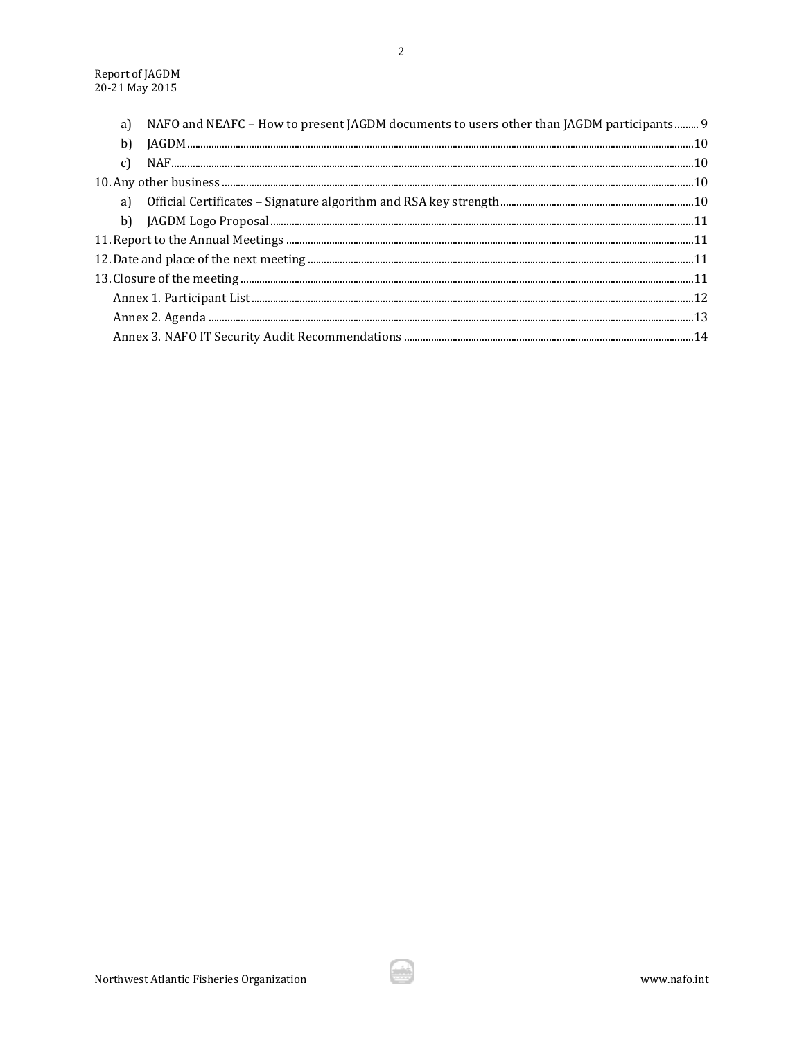| a) | NAFO and NEAFC - How to present JAGDM documents to users other than JAGDM participants 9 |  |
|----|------------------------------------------------------------------------------------------|--|
| b) |                                                                                          |  |
|    |                                                                                          |  |
|    |                                                                                          |  |
|    |                                                                                          |  |
|    |                                                                                          |  |
|    |                                                                                          |  |
|    |                                                                                          |  |
|    |                                                                                          |  |
|    |                                                                                          |  |
|    |                                                                                          |  |
|    |                                                                                          |  |

€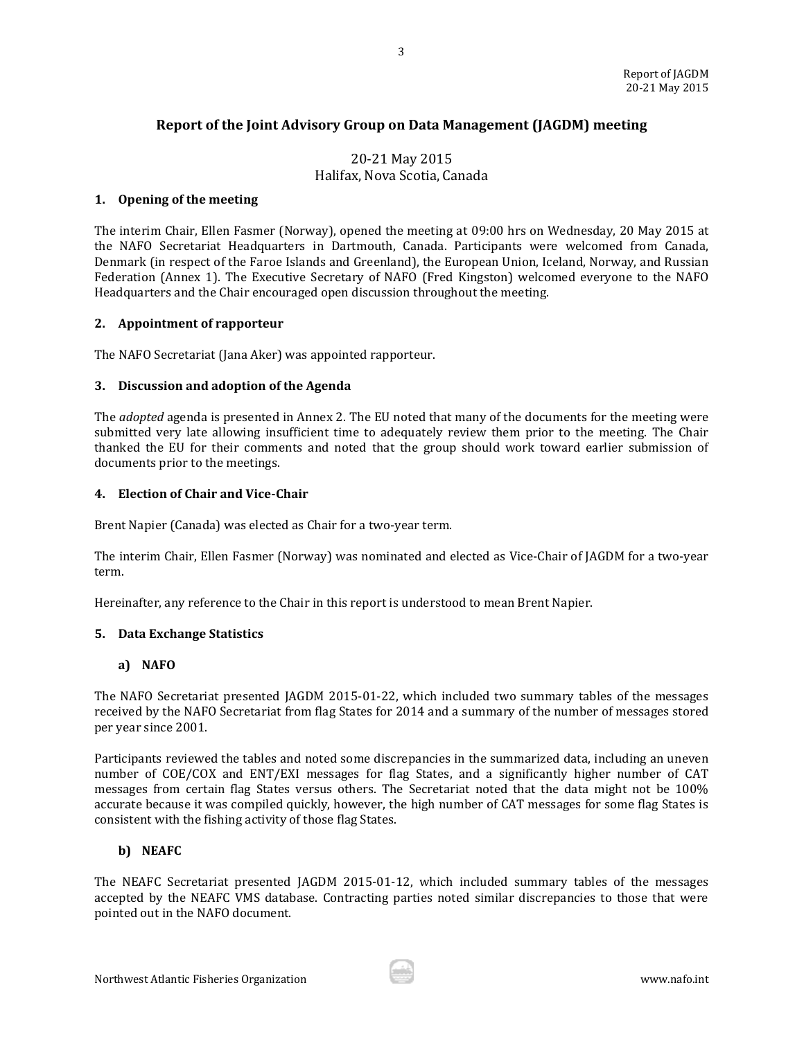# **Report of the Joint Advisory Group on Data Management (JAGDM) meeting**

3

# 20-21 May 2015 Halifax, Nova Scotia, Canada

#### <span id="page-3-0"></span>**1. Opening of the meeting**

The interim Chair, Ellen Fasmer (Norway), opened the meeting at 09:00 hrs on Wednesday, 20 May 2015 at the NAFO Secretariat Headquarters in Dartmouth, Canada. Participants were welcomed from Canada, Denmark (in respect of the Faroe Islands and Greenland), the European Union, Iceland, Norway, and Russian Federation (Annex 1). The Executive Secretary of NAFO (Fred Kingston) welcomed everyone to the NAFO Headquarters and the Chair encouraged open discussion throughout the meeting.

#### <span id="page-3-1"></span>**2. Appointment of rapporteur**

The NAFO Secretariat (Jana Aker) was appointed rapporteur.

#### <span id="page-3-2"></span>**3. Discussion and adoption of the Agenda**

The *adopted* agenda is presented in Annex 2. The EU noted that many of the documents for the meeting were submitted very late allowing insufficient time to adequately review them prior to the meeting. The Chair thanked the EU for their comments and noted that the group should work toward earlier submission of documents prior to the meetings.

#### <span id="page-3-3"></span>**4. Election of Chair and Vice-Chair**

Brent Napier (Canada) was elected as Chair for a two-year term.

The interim Chair, Ellen Fasmer (Norway) was nominated and elected as Vice-Chair of JAGDM for a two-year term.

Hereinafter, any reference to the Chair in this report is understood to mean Brent Napier.

## <span id="page-3-4"></span>**5. Data Exchange Statistics**

## <span id="page-3-5"></span>**a) NAFO**

The NAFO Secretariat presented JAGDM 2015-01-22, which included two summary tables of the messages received by the NAFO Secretariat from flag States for 2014 and a summary of the number of messages stored per year since 2001.

Participants reviewed the tables and noted some discrepancies in the summarized data, including an uneven number of COE/COX and ENT/EXI messages for flag States, and a significantly higher number of CAT messages from certain flag States versus others. The Secretariat noted that the data might not be 100% accurate because it was compiled quickly, however, the high number of CAT messages for some flag States is consistent with the fishing activity of those flag States.

#### <span id="page-3-6"></span>**b) NEAFC**

The NEAFC Secretariat presented JAGDM 2015-01-12, which included summary tables of the messages accepted by the NEAFC VMS database. Contracting parties noted similar discrepancies to those that were pointed out in the NAFO document.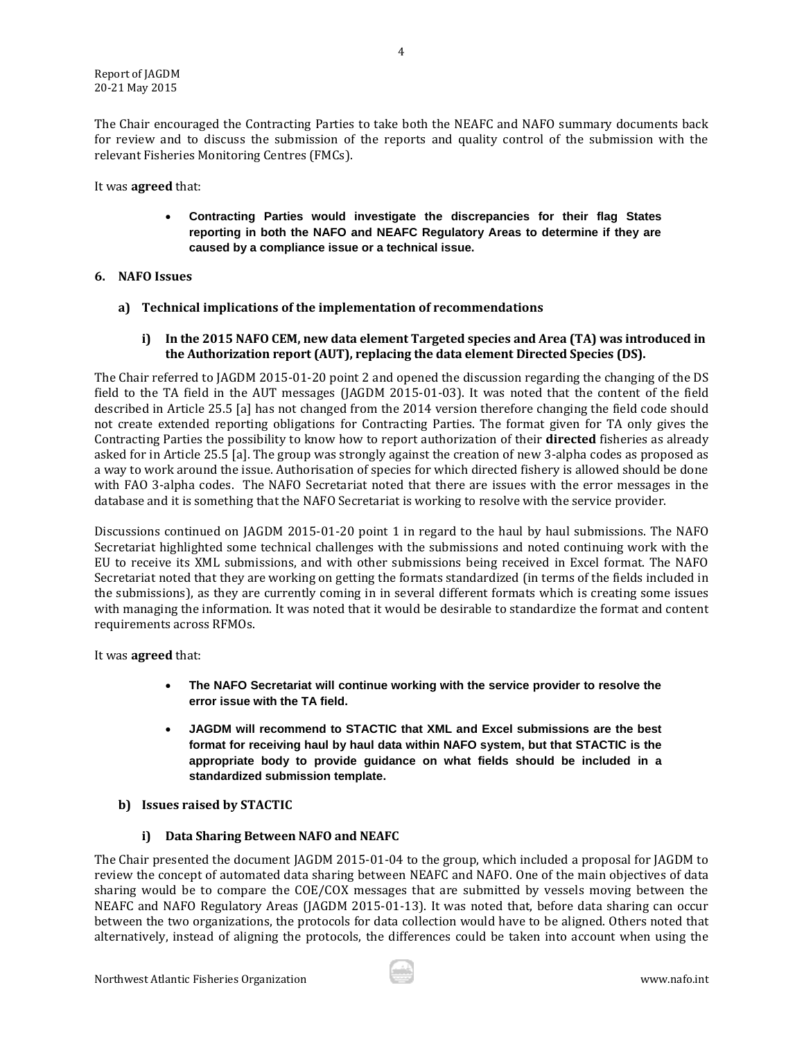The Chair encouraged the Contracting Parties to take both the NEAFC and NAFO summary documents back for review and to discuss the submission of the reports and quality control of the submission with the relevant Fisheries Monitoring Centres (FMCs).

It was **agreed** that:

 **Contracting Parties would investigate the discrepancies for their flag States reporting in both the NAFO and NEAFC Regulatory Areas to determine if they are caused by a compliance issue or a technical issue.** 

#### <span id="page-4-0"></span>**6. NAFO Issues**

- <span id="page-4-1"></span>**a) Technical implications of the implementation of recommendations**
	- **i) In the 2015 NAFO CEM, new data element Targeted species and Area (TA) was introduced in the Authorization report (AUT), replacing the data element Directed Species (DS).**

<span id="page-4-2"></span>The Chair referred to JAGDM 2015-01-20 point 2 and opened the discussion regarding the changing of the DS field to the TA field in the AUT messages (JAGDM 2015-01-03). It was noted that the content of the field described in Article 25.5 [a] has not changed from the 2014 version therefore changing the field code should not create extended reporting obligations for Contracting Parties. The format given for TA only gives the Contracting Parties the possibility to know how to report authorization of their **directed** fisheries as already asked for in Article 25.5 [a]. The group was strongly against the creation of new 3-alpha codes as proposed as a way to work around the issue. Authorisation of species for which directed fishery is allowed should be done with FAO 3-alpha codes. The NAFO Secretariat noted that there are issues with the error messages in the database and it is something that the NAFO Secretariat is working to resolve with the service provider.

Discussions continued on JAGDM 2015-01-20 point 1 in regard to the haul by haul submissions. The NAFO Secretariat highlighted some technical challenges with the submissions and noted continuing work with the EU to receive its XML submissions, and with other submissions being received in Excel format. The NAFO Secretariat noted that they are working on getting the formats standardized (in terms of the fields included in the submissions), as they are currently coming in in several different formats which is creating some issues with managing the information. It was noted that it would be desirable to standardize the format and content requirements across RFMOs.

It was **agreed** that:

- **The NAFO Secretariat will continue working with the service provider to resolve the error issue with the TA field.**
- **JAGDM will recommend to STACTIC that XML and Excel submissions are the best format for receiving haul by haul data within NAFO system, but that STACTIC is the appropriate body to provide guidance on what fields should be included in a standardized submission template.**
- <span id="page-4-3"></span>**b) Issues raised by STACTIC**

## **i) Data Sharing Between NAFO and NEAFC**

<span id="page-4-4"></span>The Chair presented the document JAGDM 2015-01-04 to the group, which included a proposal for JAGDM to review the concept of automated data sharing between NEAFC and NAFO. One of the main objectives of data sharing would be to compare the COE/COX messages that are submitted by vessels moving between the NEAFC and NAFO Regulatory Areas (JAGDM 2015-01-13). It was noted that, before data sharing can occur between the two organizations, the protocols for data collection would have to be aligned. Others noted that alternatively, instead of aligning the protocols, the differences could be taken into account when using the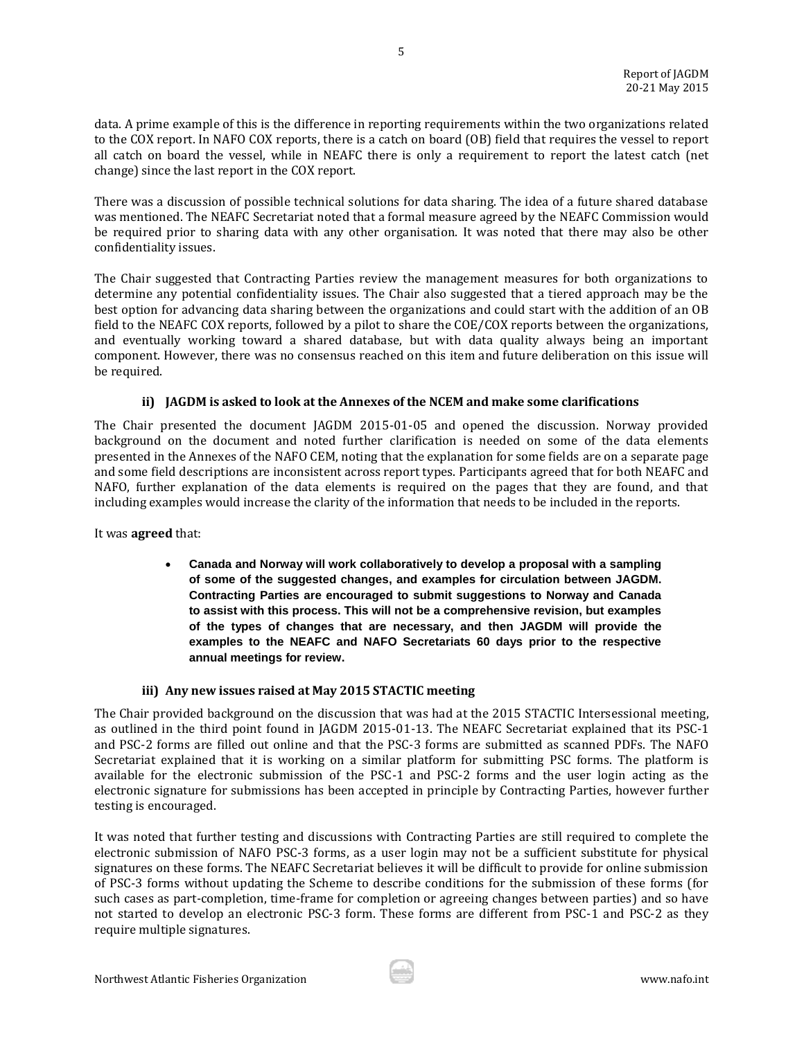data. A prime example of this is the difference in reporting requirements within the two organizations related to the COX report. In NAFO COX reports, there is a catch on board (OB) field that requires the vessel to report all catch on board the vessel, while in NEAFC there is only a requirement to report the latest catch (net change) since the last report in the COX report.

5

There was a discussion of possible technical solutions for data sharing. The idea of a future shared database was mentioned. The NEAFC Secretariat noted that a formal measure agreed by the NEAFC Commission would be required prior to sharing data with any other organisation. It was noted that there may also be other confidentiality issues.

The Chair suggested that Contracting Parties review the management measures for both organizations to determine any potential confidentiality issues. The Chair also suggested that a tiered approach may be the best option for advancing data sharing between the organizations and could start with the addition of an OB field to the NEAFC COX reports, followed by a pilot to share the COE/COX reports between the organizations, and eventually working toward a shared database, but with data quality always being an important component. However, there was no consensus reached on this item and future deliberation on this issue will be required.

## **ii) JAGDM is asked to look at the Annexes of the NCEM and make some clarifications**

<span id="page-5-0"></span>The Chair presented the document JAGDM 2015-01-05 and opened the discussion. Norway provided background on the document and noted further clarification is needed on some of the data elements presented in the Annexes of the NAFO CEM, noting that the explanation for some fields are on a separate page and some field descriptions are inconsistent across report types. Participants agreed that for both NEAFC and NAFO, further explanation of the data elements is required on the pages that they are found, and that including examples would increase the clarity of the information that needs to be included in the reports.

It was **agreed** that:

 **Canada and Norway will work collaboratively to develop a proposal with a sampling of some of the suggested changes, and examples for circulation between JAGDM. Contracting Parties are encouraged to submit suggestions to Norway and Canada to assist with this process. This will not be a comprehensive revision, but examples of the types of changes that are necessary, and then JAGDM will provide the examples to the NEAFC and NAFO Secretariats 60 days prior to the respective annual meetings for review.** 

## **iii) Any new issues raised at May 2015 STACTIC meeting**

<span id="page-5-1"></span>The Chair provided background on the discussion that was had at the 2015 STACTIC Intersessional meeting, as outlined in the third point found in JAGDM 2015-01-13. The NEAFC Secretariat explained that its PSC-1 and PSC-2 forms are filled out online and that the PSC-3 forms are submitted as scanned PDFs. The NAFO Secretariat explained that it is working on a similar platform for submitting PSC forms. The platform is available for the electronic submission of the PSC-1 and PSC-2 forms and the user login acting as the electronic signature for submissions has been accepted in principle by Contracting Parties, however further testing is encouraged.

It was noted that further testing and discussions with Contracting Parties are still required to complete the electronic submission of NAFO PSC-3 forms, as a user login may not be a sufficient substitute for physical signatures on these forms. The NEAFC Secretariat believes it will be difficult to provide for online submission of PSC-3 forms without updating the Scheme to describe conditions for the submission of these forms (for such cases as part-completion, time-frame for completion or agreeing changes between parties) and so have not started to develop an electronic PSC-3 form. These forms are different from PSC-1 and PSC-2 as they require multiple signatures.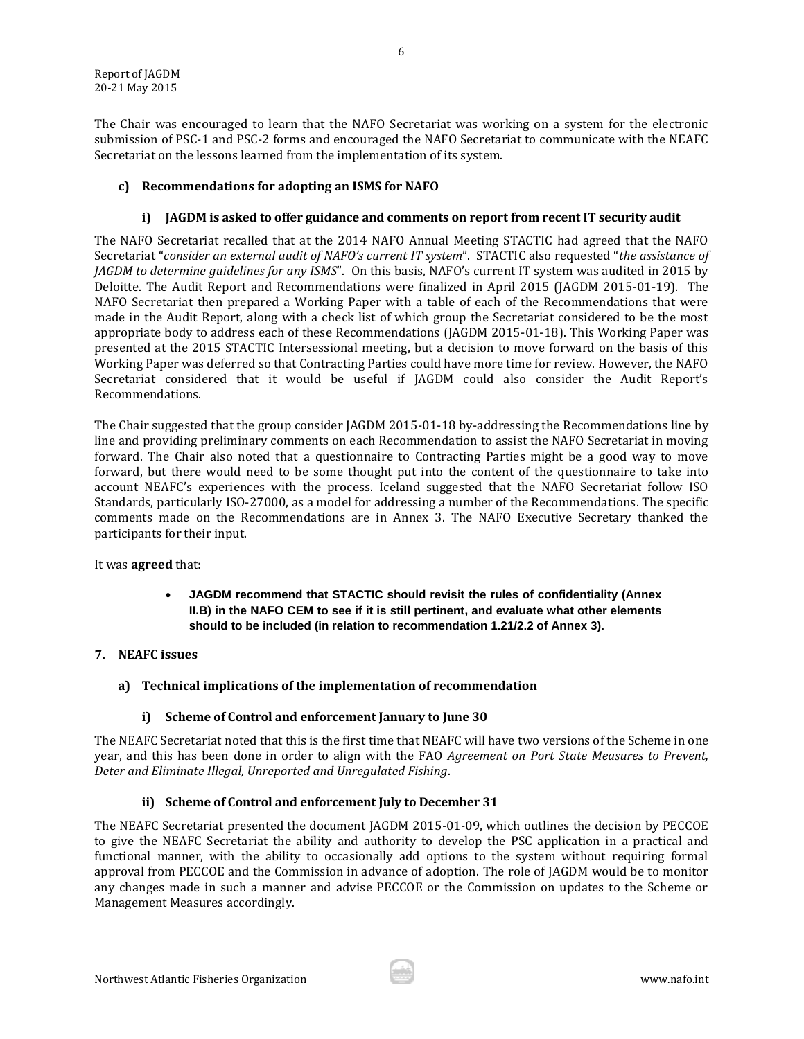The Chair was encouraged to learn that the NAFO Secretariat was working on a system for the electronic submission of PSC-1 and PSC-2 forms and encouraged the NAFO Secretariat to communicate with the NEAFC Secretariat on the lessons learned from the implementation of its system.

6

## <span id="page-6-0"></span>**c) Recommendations for adopting an ISMS for NAFO**

## **i) JAGDM is asked to offer guidance and comments on report from recent IT security audit**

<span id="page-6-1"></span>The NAFO Secretariat recalled that at the 2014 NAFO Annual Meeting STACTIC had agreed that the NAFO Secretariat "*consider an external audit of NAFO's current IT system*". STACTIC also requested "*the assistance of JAGDM to determine guidelines for any ISMS*". On this basis, NAFO's current IT system was audited in 2015 by Deloitte. The Audit Report and Recommendations were finalized in April 2015 (JAGDM 2015-01-19). The NAFO Secretariat then prepared a Working Paper with a table of each of the Recommendations that were made in the Audit Report, along with a check list of which group the Secretariat considered to be the most appropriate body to address each of these Recommendations (JAGDM 2015-01-18). This Working Paper was presented at the 2015 STACTIC Intersessional meeting, but a decision to move forward on the basis of this Working Paper was deferred so that Contracting Parties could have more time for review. However, the NAFO Secretariat considered that it would be useful if JAGDM could also consider the Audit Report's Recommendations.

The Chair suggested that the group consider JAGDM 2015-01-18 by-addressing the Recommendations line by line and providing preliminary comments on each Recommendation to assist the NAFO Secretariat in moving forward. The Chair also noted that a questionnaire to Contracting Parties might be a good way to move forward, but there would need to be some thought put into the content of the questionnaire to take into account NEAFC's experiences with the process. Iceland suggested that the NAFO Secretariat follow ISO Standards, particularly ISO-27000, as a model for addressing a number of the Recommendations. The specific comments made on the Recommendations are in Annex 3. The NAFO Executive Secretary thanked the participants for their input.

It was **agreed** that:

- **JAGDM recommend that STACTIC should revisit the rules of confidentiality (Annex II.B) in the NAFO CEM to see if it is still pertinent, and evaluate what other elements should to be included (in relation to recommendation 1.21/2.2 of Annex 3).**
- <span id="page-6-3"></span><span id="page-6-2"></span>**7. NEAFC issues** 
	- **a) Technical implications of the implementation of recommendation**

## **i) Scheme of Control and enforcement January to June 30**

<span id="page-6-4"></span>The NEAFC Secretariat noted that this is the first time that NEAFC will have two versions of the Scheme in one year, and this has been done in order to align with the FAO *Agreement on Port State Measures to Prevent, Deter and Eliminate Illegal, Unreported and Unregulated Fishing*.

## **ii) Scheme of Control and enforcement July to December 31**

<span id="page-6-5"></span>The NEAFC Secretariat presented the document JAGDM 2015-01-09, which outlines the decision by PECCOE to give the NEAFC Secretariat the ability and authority to develop the PSC application in a practical and functional manner, with the ability to occasionally add options to the system without requiring formal approval from PECCOE and the Commission in advance of adoption. The role of JAGDM would be to monitor any changes made in such a manner and advise PECCOE or the Commission on updates to the Scheme or Management Measures accordingly.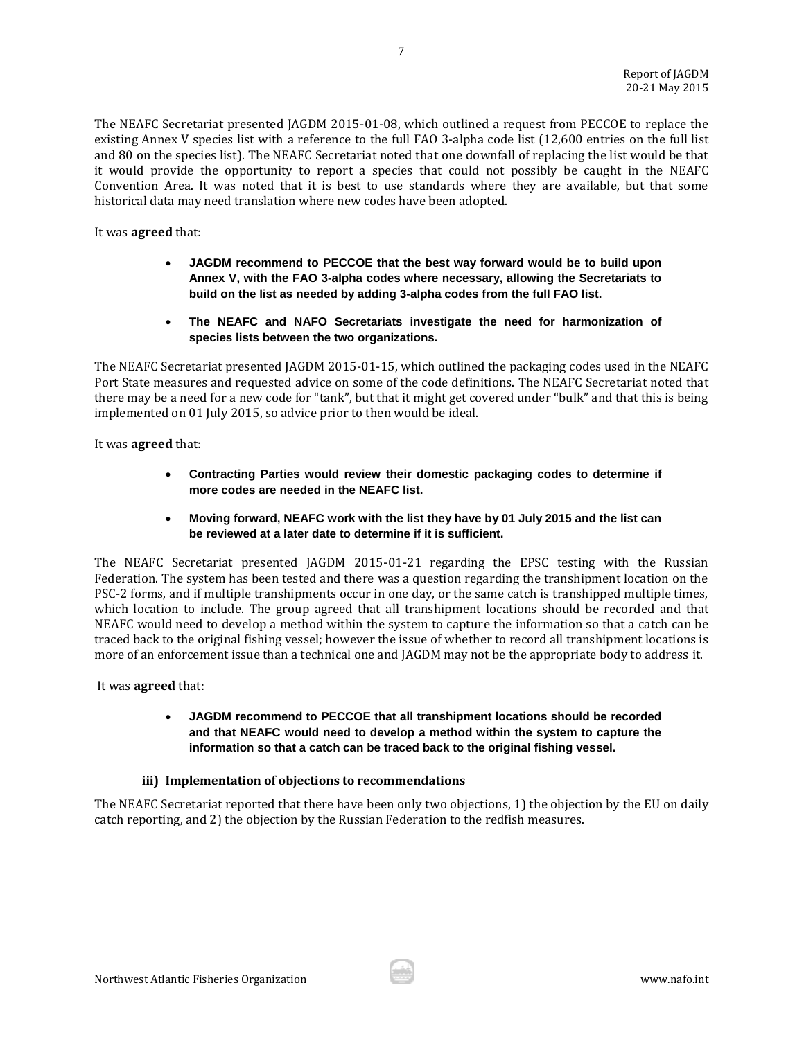The NEAFC Secretariat presented JAGDM 2015-01-08, which outlined a request from PECCOE to replace the existing Annex V species list with a reference to the full FAO 3-alpha code list (12,600 entries on the full list and 80 on the species list). The NEAFC Secretariat noted that one downfall of replacing the list would be that it would provide the opportunity to report a species that could not possibly be caught in the NEAFC Convention Area. It was noted that it is best to use standards where they are available, but that some historical data may need translation where new codes have been adopted.

It was **agreed** that:

- **JAGDM recommend to PECCOE that the best way forward would be to build upon Annex V, with the FAO 3-alpha codes where necessary, allowing the Secretariats to build on the list as needed by adding 3-alpha codes from the full FAO list.**
- **The NEAFC and NAFO Secretariats investigate the need for harmonization of species lists between the two organizations.**

The NEAFC Secretariat presented JAGDM 2015-01-15, which outlined the packaging codes used in the NEAFC Port State measures and requested advice on some of the code definitions. The NEAFC Secretariat noted that there may be a need for a new code for "tank", but that it might get covered under "bulk" and that this is being implemented on 01 July 2015, so advice prior to then would be ideal.

It was **agreed** that:

- **Contracting Parties would review their domestic packaging codes to determine if more codes are needed in the NEAFC list.**
- **Moving forward, NEAFC work with the list they have by 01 July 2015 and the list can be reviewed at a later date to determine if it is sufficient.**

The NEAFC Secretariat presented JAGDM 2015-01-21 regarding the EPSC testing with the Russian Federation. The system has been tested and there was a question regarding the transhipment location on the PSC-2 forms, and if multiple transhipments occur in one day, or the same catch is transhipped multiple times, which location to include. The group agreed that all transhipment locations should be recorded and that NEAFC would need to develop a method within the system to capture the information so that a catch can be traced back to the original fishing vessel; however the issue of whether to record all transhipment locations is more of an enforcement issue than a technical one and JAGDM may not be the appropriate body to address it.

It was **agreed** that:

 **JAGDM recommend to PECCOE that all transhipment locations should be recorded and that NEAFC would need to develop a method within the system to capture the information so that a catch can be traced back to the original fishing vessel.**

## **iii) Implementation of objections to recommendations**

<span id="page-7-0"></span>The NEAFC Secretariat reported that there have been only two objections, 1) the objection by the EU on daily catch reporting, and 2) the objection by the Russian Federation to the redfish measures.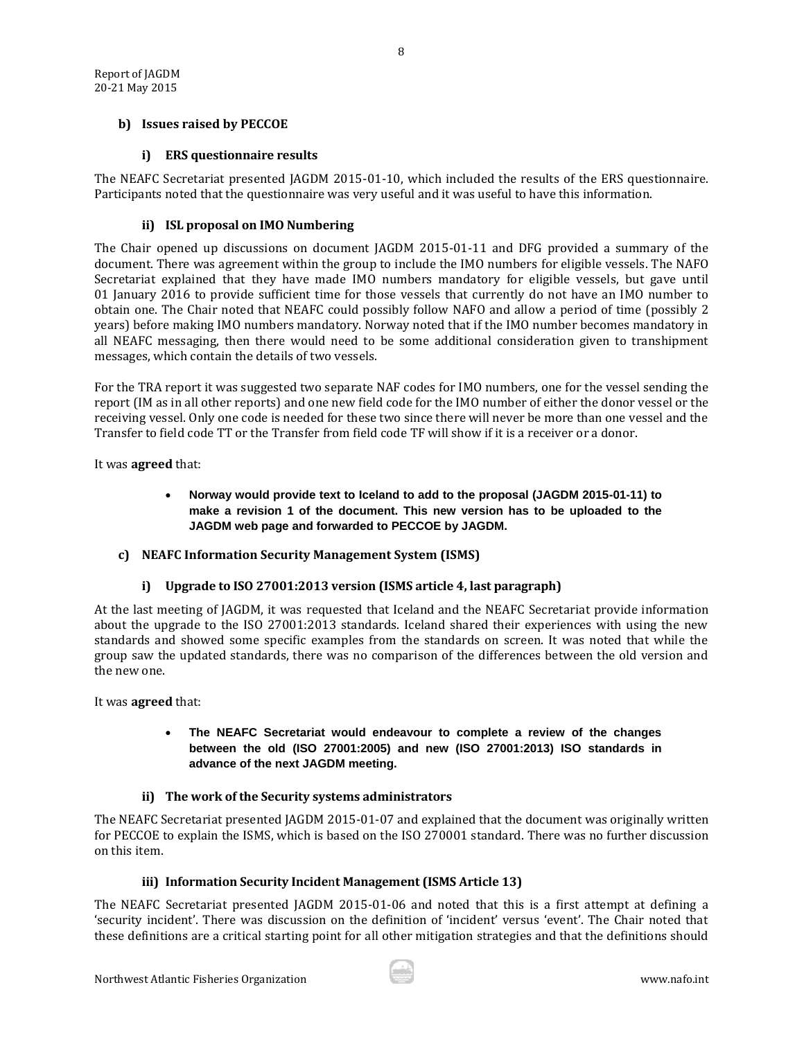## <span id="page-8-0"></span>**b) Issues raised by PECCOE**

## **i) ERS questionnaire results**

<span id="page-8-1"></span>The NEAFC Secretariat presented JAGDM 2015-01-10, which included the results of the ERS questionnaire. Participants noted that the questionnaire was very useful and it was useful to have this information.

#### **ii) ISL proposal on IMO Numbering**

<span id="page-8-2"></span>The Chair opened up discussions on document JAGDM 2015-01-11 and DFG provided a summary of the document. There was agreement within the group to include the IMO numbers for eligible vessels. The NAFO Secretariat explained that they have made IMO numbers mandatory for eligible vessels, but gave until 01 January 2016 to provide sufficient time for those vessels that currently do not have an IMO number to obtain one. The Chair noted that NEAFC could possibly follow NAFO and allow a period of time (possibly 2 years) before making IMO numbers mandatory. Norway noted that if the IMO number becomes mandatory in all NEAFC messaging, then there would need to be some additional consideration given to transhipment messages, which contain the details of two vessels.

For the TRA report it was suggested two separate NAF codes for IMO numbers, one for the vessel sending the report (IM as in all other reports) and one new field code for the IMO number of either the donor vessel or the receiving vessel. Only one code is needed for these two since there will never be more than one vessel and the Transfer to field code TT or the Transfer from field code TF will show if it is a receiver or a donor.

It was **agreed** that:

 **Norway would provide text to Iceland to add to the proposal (JAGDM 2015-01-11) to make a revision 1 of the document. This new version has to be uploaded to the JAGDM web page and forwarded to PECCOE by JAGDM.** 

## <span id="page-8-3"></span>**c) NEAFC Information Security Management System (ISMS)**

## **i) Upgrade to ISO 27001:2013 version (ISMS article 4, last paragraph)**

<span id="page-8-4"></span>At the last meeting of JAGDM, it was requested that Iceland and the NEAFC Secretariat provide information about the upgrade to the ISO 27001:2013 standards. Iceland shared their experiences with using the new standards and showed some specific examples from the standards on screen. It was noted that while the group saw the updated standards, there was no comparison of the differences between the old version and the new one.

It was **agreed** that:

#### **The NEAFC Secretariat would endeavour to complete a review of the changes between the old (ISO 27001:2005) and new (ISO 27001:2013) ISO standards in advance of the next JAGDM meeting.**

## **ii) The work of the Security systems administrators**

<span id="page-8-5"></span>The NEAFC Secretariat presented JAGDM 2015-01-07 and explained that the document was originally written for PECCOE to explain the ISMS, which is based on the ISO 270001 standard. There was no further discussion on this item.

## **iii) Information Security Incide**n**t Management (ISMS Article 13)**

<span id="page-8-6"></span>The NEAFC Secretariat presented JAGDM 2015-01-06 and noted that this is a first attempt at defining a 'security incident'. There was discussion on the definition of 'incident' versus 'event'. The Chair noted that these definitions are a critical starting point for all other mitigation strategies and that the definitions should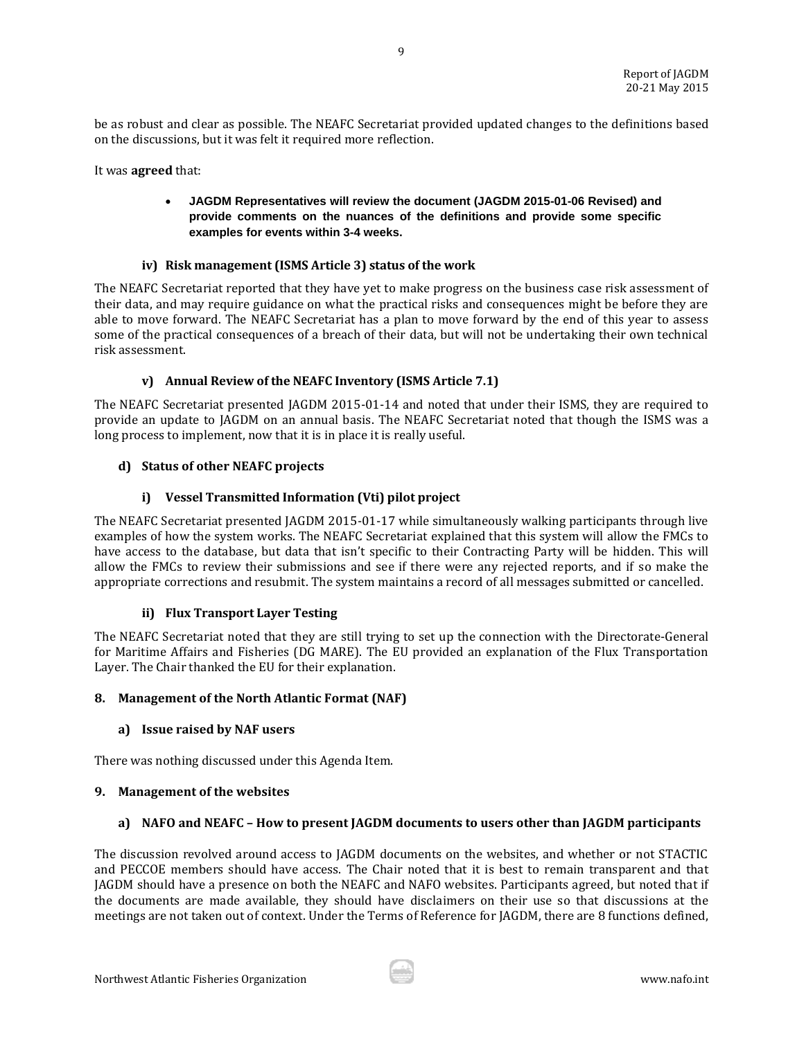be as robust and clear as possible. The NEAFC Secretariat provided updated changes to the definitions based on the discussions, but it was felt it required more reflection.

9

It was **agreed** that:

## **JAGDM Representatives will review the document (JAGDM 2015-01-06 Revised) and provide comments on the nuances of the definitions and provide some specific examples for events within 3-4 weeks.**

## **iv) Risk management (ISMS Article 3) status of the work**

<span id="page-9-0"></span>The NEAFC Secretariat reported that they have yet to make progress on the business case risk assessment of their data, and may require guidance on what the practical risks and consequences might be before they are able to move forward. The NEAFC Secretariat has a plan to move forward by the end of this year to assess some of the practical consequences of a breach of their data, but will not be undertaking their own technical risk assessment.

## **v) Annual Review of the NEAFC Inventory (ISMS Article 7.1)**

<span id="page-9-1"></span>The NEAFC Secretariat presented JAGDM 2015-01-14 and noted that under their ISMS, they are required to provide an update to JAGDM on an annual basis. The NEAFC Secretariat noted that though the ISMS was a long process to implement, now that it is in place it is really useful.

## <span id="page-9-2"></span>**d) Status of other NEAFC projects**

## **i) Vessel Transmitted Information (Vti) pilot project**

<span id="page-9-3"></span>The NEAFC Secretariat presented JAGDM 2015-01-17 while simultaneously walking participants through live examples of how the system works. The NEAFC Secretariat explained that this system will allow the FMCs to have access to the database, but data that isn't specific to their Contracting Party will be hidden. This will allow the FMCs to review their submissions and see if there were any rejected reports, and if so make the appropriate corrections and resubmit. The system maintains a record of all messages submitted or cancelled.

## **ii) Flux Transport Layer Testing**

<span id="page-9-4"></span>The NEAFC Secretariat noted that they are still trying to set up the connection with the Directorate-General for Maritime Affairs and Fisheries (DG MARE). The EU provided an explanation of the Flux Transportation Layer. The Chair thanked the EU for their explanation.

## <span id="page-9-5"></span>**8. Management of the North Atlantic Format (NAF)**

## <span id="page-9-6"></span>**a) Issue raised by NAF users**

There was nothing discussed under this Agenda Item.

## <span id="page-9-7"></span>**9. Management of the websites**

## <span id="page-9-8"></span>**a) NAFO and NEAFC – How to present JAGDM documents to users other than JAGDM participants**

The discussion revolved around access to JAGDM documents on the websites, and whether or not STACTIC and PECCOE members should have access. The Chair noted that it is best to remain transparent and that JAGDM should have a presence on both the NEAFC and NAFO websites. Participants agreed, but noted that if the documents are made available, they should have disclaimers on their use so that discussions at the meetings are not taken out of context. Under the Terms of Reference for JAGDM, there are 8 functions defined,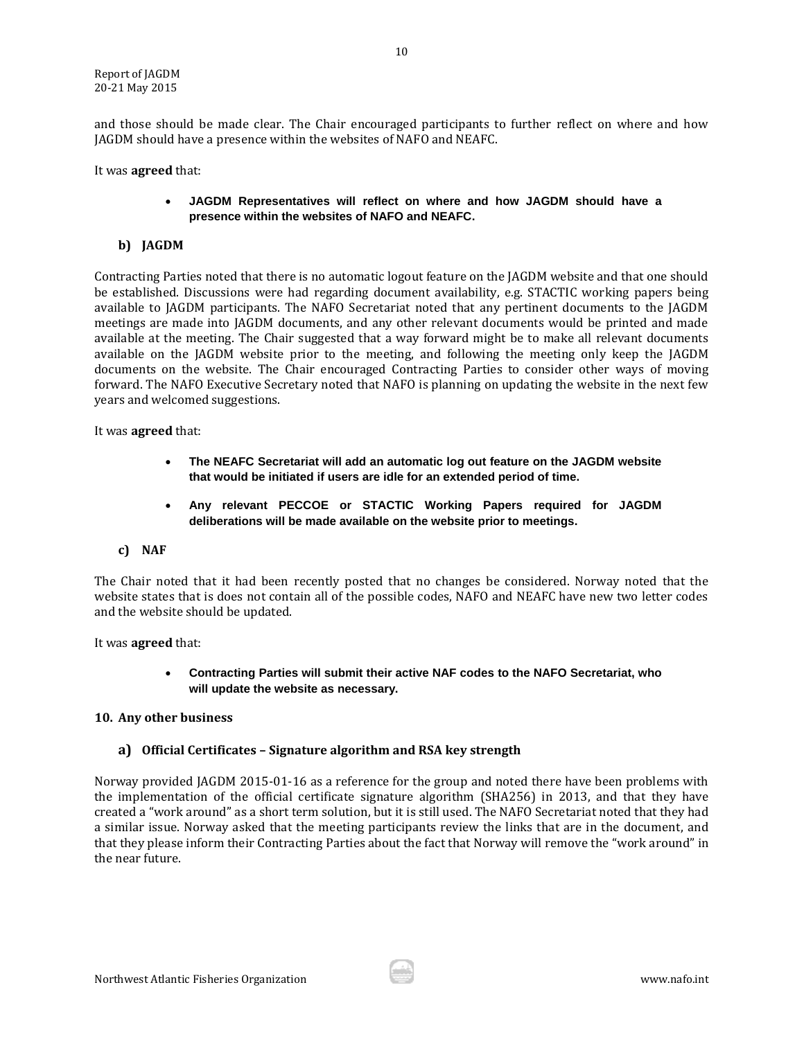and those should be made clear. The Chair encouraged participants to further reflect on where and how JAGDM should have a presence within the websites of NAFO and NEAFC.

It was **agreed** that:

## **JAGDM Representatives will reflect on where and how JAGDM should have a presence within the websites of NAFO and NEAFC.**

## <span id="page-10-0"></span>**b) JAGDM**

Contracting Parties noted that there is no automatic logout feature on the JAGDM website and that one should be established. Discussions were had regarding document availability, e.g. STACTIC working papers being available to JAGDM participants. The NAFO Secretariat noted that any pertinent documents to the JAGDM meetings are made into JAGDM documents, and any other relevant documents would be printed and made available at the meeting. The Chair suggested that a way forward might be to make all relevant documents available on the JAGDM website prior to the meeting, and following the meeting only keep the JAGDM documents on the website. The Chair encouraged Contracting Parties to consider other ways of moving forward. The NAFO Executive Secretary noted that NAFO is planning on updating the website in the next few years and welcomed suggestions.

It was **agreed** that:

- **The NEAFC Secretariat will add an automatic log out feature on the JAGDM website that would be initiated if users are idle for an extended period of time.**
- **Any relevant PECCOE or STACTIC Working Papers required for JAGDM deliberations will be made available on the website prior to meetings.**

## <span id="page-10-1"></span>**c) NAF**

The Chair noted that it had been recently posted that no changes be considered. Norway noted that the website states that is does not contain all of the possible codes, NAFO and NEAFC have new two letter codes and the website should be updated.

It was **agreed** that:

 **Contracting Parties will submit their active NAF codes to the NAFO Secretariat, who will update the website as necessary.**

## <span id="page-10-2"></span>**10. Any other business**

## <span id="page-10-3"></span>**a) Official Certificates – Signature algorithm and RSA key strength**

Norway provided JAGDM 2015-01-16 as a reference for the group and noted there have been problems with the implementation of the official certificate signature algorithm (SHA256) in 2013, and that they have created a "work around" as a short term solution, but it is still used. The NAFO Secretariat noted that they had a similar issue. Norway asked that the meeting participants review the links that are in the document, and that they please inform their Contracting Parties about the fact that Norway will remove the "work around" in the near future.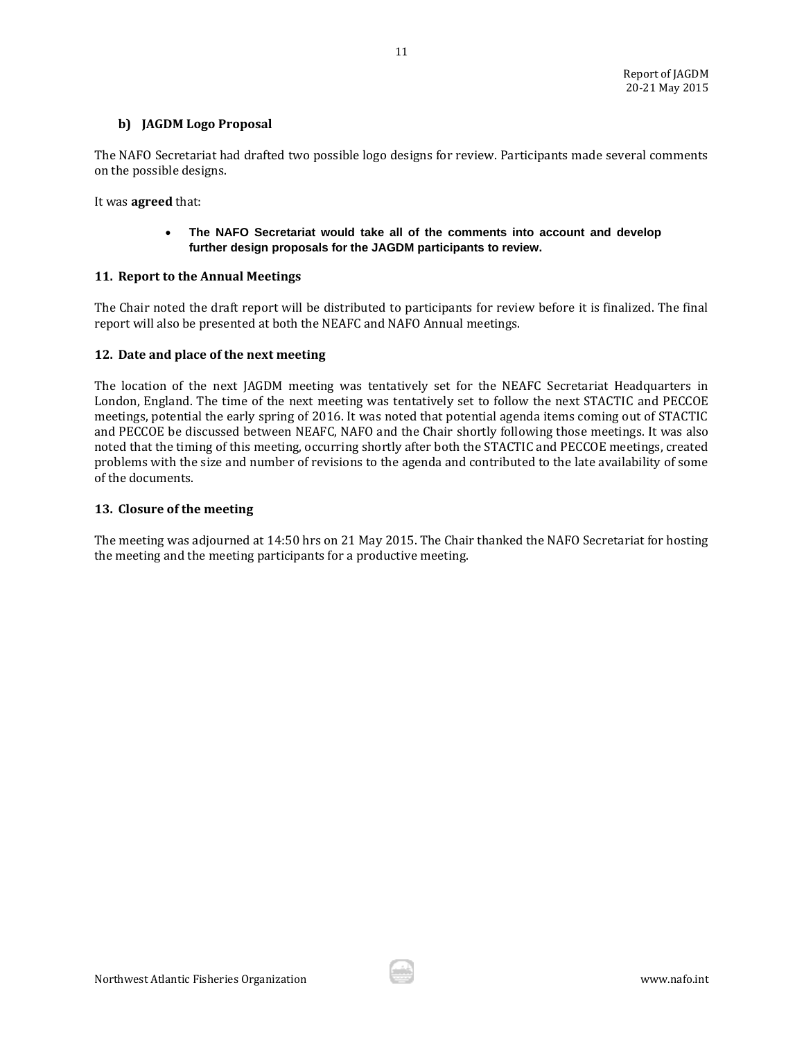## <span id="page-11-0"></span>**b) JAGDM Logo Proposal**

The NAFO Secretariat had drafted two possible logo designs for review. Participants made several comments on the possible designs.

11

It was **agreed** that:

## **The NAFO Secretariat would take all of the comments into account and develop further design proposals for the JAGDM participants to review.**

#### <span id="page-11-1"></span>**11. Report to the Annual Meetings**

The Chair noted the draft report will be distributed to participants for review before it is finalized. The final report will also be presented at both the NEAFC and NAFO Annual meetings.

#### <span id="page-11-2"></span>**12. Date and place of the next meeting**

The location of the next JAGDM meeting was tentatively set for the NEAFC Secretariat Headquarters in London, England. The time of the next meeting was tentatively set to follow the next STACTIC and PECCOE meetings, potential the early spring of 2016. It was noted that potential agenda items coming out of STACTIC and PECCOE be discussed between NEAFC, NAFO and the Chair shortly following those meetings. It was also noted that the timing of this meeting, occurring shortly after both the STACTIC and PECCOE meetings, created problems with the size and number of revisions to the agenda and contributed to the late availability of some of the documents.

#### <span id="page-11-3"></span>**13. Closure of the meeting**

The meeting was adjourned at 14:50 hrs on 21 May 2015. The Chair thanked the NAFO Secretariat for hosting the meeting and the meeting participants for a productive meeting.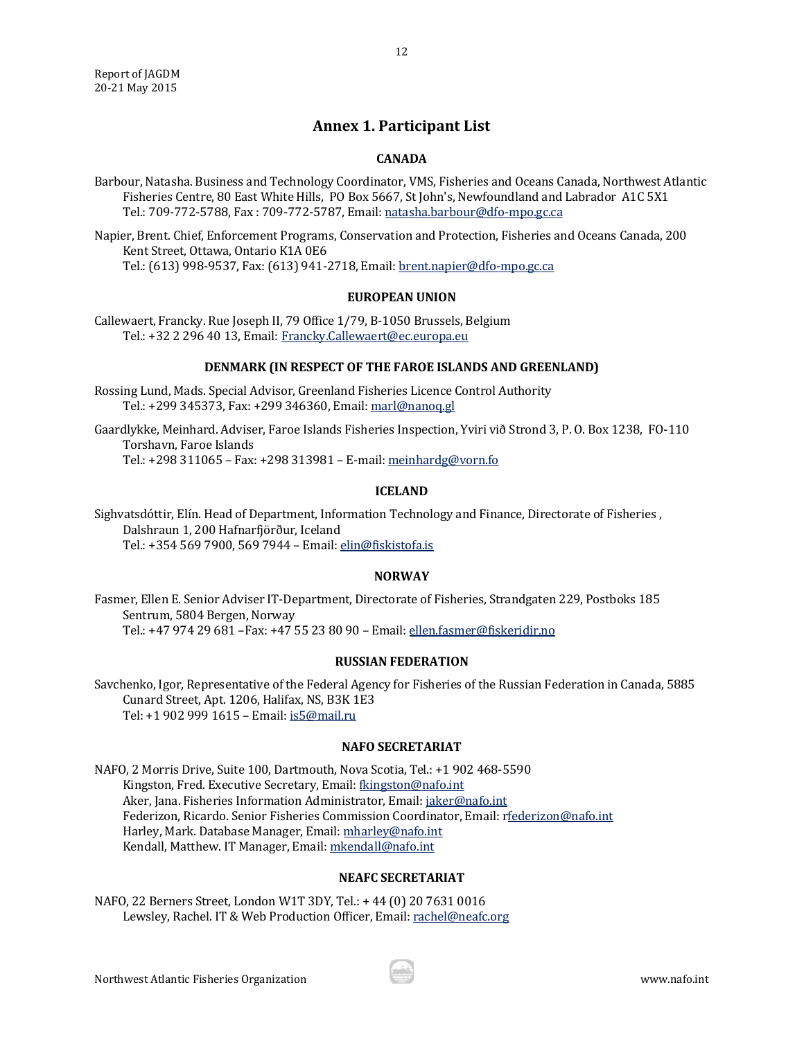## **Annex 1. Participant List**

12

#### **CANADA**

<span id="page-12-0"></span>Barbour, Natasha. Business and Technology Coordinator, VMS, Fisheries and Oceans Canada, Northwest Atlantic Fisheries Centre, 80 East White Hills, PO Box 5667, St John's, Newfoundland and Labrador A1C 5X1 Tel.: 709-772-5788, Fax : 709-772-5787, Email[: natasha.barbour@dfo-mpo.gc.ca](mailto:natasha.barbour@dfo-mpo.gc.ca)

Napier, Brent. Chief, Enforcement Programs, Conservation and Protection, Fisheries and Oceans Canada, 200 Kent Street, Ottawa, Ontario K1A 0E6 Tel.: (613) 998-9537, Fax: (613) 941-2718, Email: [brent.napier@dfo-mpo.gc.ca](mailto:brent.napier@dfo-mpo.gc.ca)

#### **EUROPEAN UNION**

Callewaert, Francky. Rue Joseph II, 79 Office 1/79, B-1050 Brussels, Belgium Tel.: +32 2 296 40 13, Email[: Francky.Callewaert@ec.europa.eu](mailto:Francky.Callewaert@ec.europa.eu)

#### **DENMARK (IN RESPECT OF THE FAROE ISLANDS AND GREENLAND)**

Rossing Lund, Mads. Special Advisor, Greenland Fisheries Licence Control Authority Tel.: +299 345373, Fax: +299 346360, Email[: marl@nanoq.gl](mailto:marl@nanoq.gl)

Gaardlykke, Meinhard. Adviser, Faroe Islands Fisheries Inspection, Yviri við Strond 3, P. O. Box 1238, FO-110 Torshavn, Faroe Islands Tel.: +298 311065 – Fax: +298 313981 – E-mail: meinhardg@vorn.fo

#### **ICELAND**

Sighvatsdóttir, Elín. Head of Department, Information Technology and Finance, Directorate of Fisheries , Dalshraun 1, 200 Hafnarfjörður, Iceland Tel.: +354 569 7900, 569 7944 – Email[: elin@fiskistofa.is](mailto:elin@fiskistofa.is)

#### **NORWAY**

Fasmer, Ellen E. Senior Adviser IT-Department, Directorate of Fisheries, Strandgaten 229, Postboks 185 Sentrum, 5804 Bergen, Norway Tel.: +47 974 29 681 –Fax: +47 55 23 80 90 – Email: [ellen.fasmer@fiskeridir.no](mailto:ellen.fasmer@fiskeridir.no)

#### **RUSSIAN FEDERATION**

Savchenko, Igor, Representative of the Federal Agency for Fisheries of the Russian Federation in Canada, 5885 Cunard Street, Apt. 1206, Halifax, NS, B3K 1E3 Tel: +1 902 999 1615 – Email[: is5@mail.ru](mailto:is5@mail.ru)

#### **NAFO SECRETARIAT**

NAFO, 2 Morris Drive, Suite 100, Dartmouth, Nova Scotia, Tel.: +1 902 468-5590 Kingston, Fred. Executive Secretary, Email[: fkingston@nafo.int](mailto:fkingston@nafo.int) Aker, Jana. Fisheries Information Administrator, Email[: jaker@nafo.int](mailto:jaker@nafo.int) Federizon, Ricardo. Senior Fisheries Commission Coordinator, Email: [rfederizon@nafo.int](mailto:rfederizon@nafo.int) Harley, Mark. Database Manager, Email[: mharley@nafo.int](mailto:mharley@nafo.int) Kendall, Matthew. IT Manager, Email[: mkendall@nafo.int](mailto:mkendall@nafo.int)

#### **NEAFC SECRETARIAT**

NAFO, 22 Berners Street, London W1T 3DY, Tel.: + 44 (0) 20 7631 0016 Lewsley, Rachel. IT & Web Production Officer, Email[: rachel@neafc.org](mailto:rachel@neafc.org)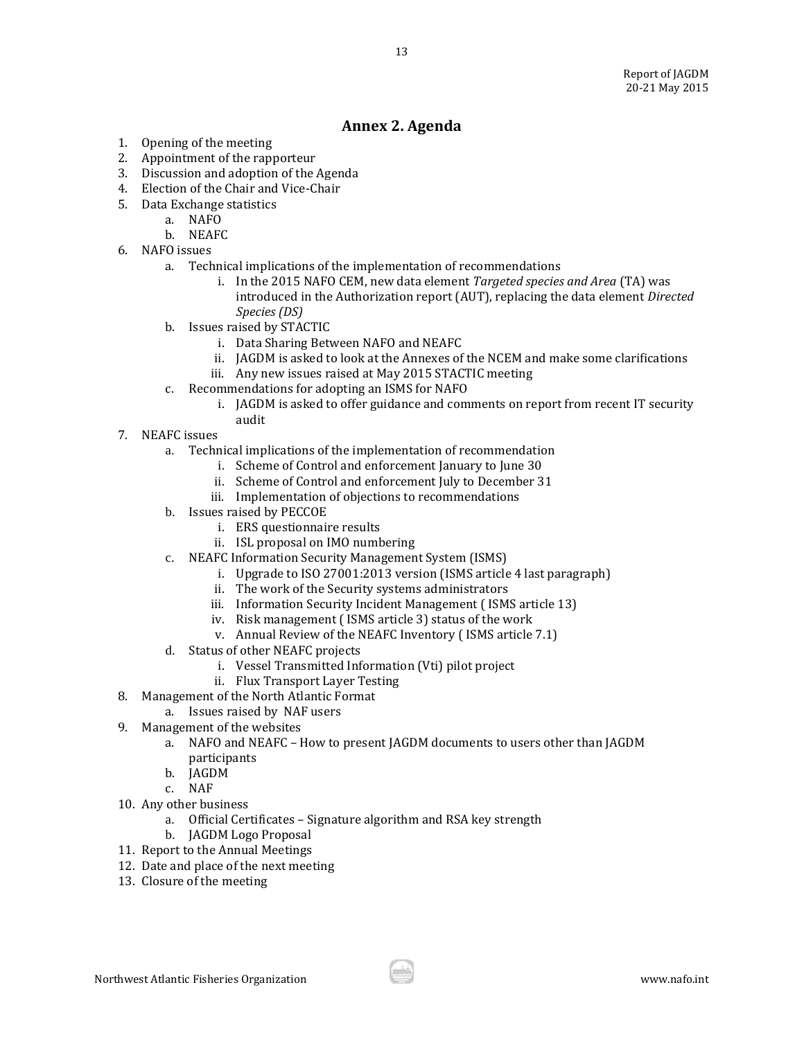# **Annex 2. Agenda**

- <span id="page-13-0"></span>1. Opening of the meeting
- 2. Appointment of the rapporteur
- 3. Discussion and adoption of the Agenda
- 4. Election of the Chair and Vice-Chair
- 5. Data Exchange statistics
	- a. NAFO
	- b. NEAFC
- 6. NAFO issues
	- a. Technical implications of the implementation of recommendations
		- i. In the 2015 NAFO CEM, new data element *Targeted species and Area* (TA) was introduced in the Authorization report (AUT), replacing the data element *Directed Species (DS)*
	- b. Issues raised by STACTIC
		- i. Data Sharing Between NAFO and NEAFC
		- ii. JAGDM is asked to look at the Annexes of the NCEM and make some clarifications
		- iii. Any new issues raised at May 2015 STACTIC meeting
	- c. Recommendations for adopting an ISMS for NAFO
		- i. JAGDM is asked to offer guidance and comments on report from recent IT security audit
- 7. NEAFC issues
	- a. Technical implications of the implementation of recommendation
		- i. Scheme of Control and enforcement January to June 30
		- ii. Scheme of Control and enforcement July to December 31
		- iii. Implementation of objections to recommendations
	- b. Issues raised by PECCOE
		- i. ERS questionnaire results
		- ii. ISL proposal on IMO numbering
	- c. NEAFC Information Security Management System (ISMS)
		- i. Upgrade to ISO 27001:2013 version (ISMS article 4 last paragraph)
		- ii. The work of the Security systems administrators
		- iii. Information Security Incident Management ( ISMS article 13)
		- iv. Risk management ( ISMS article 3) status of the work
		- v. Annual Review of the NEAFC Inventory ( ISMS article 7.1)
	- d. Status of other NEAFC projects
		- i. Vessel Transmitted Information (Vti) pilot project
		- ii. Flux Transport Layer Testing
- 8. Management of the North Atlantic Format
	- a. Issues raised by NAF users
- 9. Management of the websites
	- a. NAFO and NEAFC How to present JAGDM documents to users other than JAGDM participants
	- b. JAGDM
	- c. NAF
- 10. Any other business
	- a. Official Certificates Signature algorithm and RSA key strength
	- b. JAGDM Logo Proposal
- 11. Report to the Annual Meetings
- 12. Date and place of the next meeting
- 13. Closure of the meeting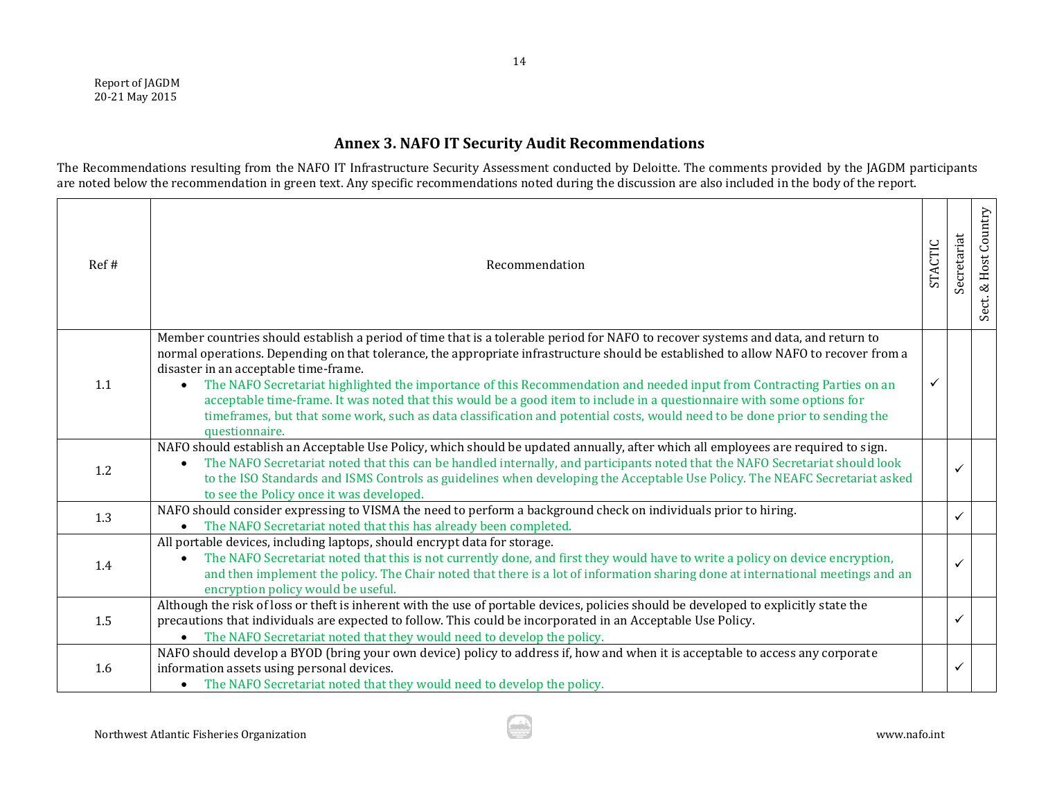Report of JAGDM 20-21 May 2015

# **Annex 3. NAFO IT Security Audit Recommendations**

The Recommendations resulting from the NAFO IT Infrastructure Security Assessment conducted by Deloitte. The comments provided by the JAGDM participants are noted below the recommendation in green text. Any specific recommendations noted during the discussion are also included in the body of the report.

<span id="page-14-0"></span>

| Ref# | Recommendation                                                                                                                                                                                                                                                                                                                                                                                                                                                                                                                                                                                                                                                                                                                       | <b>STACTIC</b> | Secretariat  | & Host Country<br>Sect. |
|------|--------------------------------------------------------------------------------------------------------------------------------------------------------------------------------------------------------------------------------------------------------------------------------------------------------------------------------------------------------------------------------------------------------------------------------------------------------------------------------------------------------------------------------------------------------------------------------------------------------------------------------------------------------------------------------------------------------------------------------------|----------------|--------------|-------------------------|
| 1.1  | Member countries should establish a period of time that is a tolerable period for NAFO to recover systems and data, and return to<br>normal operations. Depending on that tolerance, the appropriate infrastructure should be established to allow NAFO to recover from a<br>disaster in an acceptable time-frame.<br>The NAFO Secretariat highlighted the importance of this Recommendation and needed input from Contracting Parties on an<br>$\bullet$<br>acceptable time-frame. It was noted that this would be a good item to include in a questionnaire with some options for<br>timeframes, but that some work, such as data classification and potential costs, would need to be done prior to sending the<br>questionnaire. | ✓              |              |                         |
| 1.2  | NAFO should establish an Acceptable Use Policy, which should be updated annually, after which all employees are required to sign.<br>The NAFO Secretariat noted that this can be handled internally, and participants noted that the NAFO Secretariat should look<br>to the ISO Standards and ISMS Controls as guidelines when developing the Acceptable Use Policy. The NEAFC Secretariat asked<br>to see the Policy once it was developed.                                                                                                                                                                                                                                                                                         |                | ✓            |                         |
| 1.3  | NAFO should consider expressing to VISMA the need to perform a background check on individuals prior to hiring.<br>The NAFO Secretariat noted that this has already been completed.<br>$\bullet$                                                                                                                                                                                                                                                                                                                                                                                                                                                                                                                                     |                | $\checkmark$ |                         |
| 1.4  | All portable devices, including laptops, should encrypt data for storage.<br>The NAFO Secretariat noted that this is not currently done, and first they would have to write a policy on device encryption,<br>and then implement the policy. The Chair noted that there is a lot of information sharing done at international meetings and an<br>encryption policy would be useful.                                                                                                                                                                                                                                                                                                                                                  |                | $\checkmark$ |                         |
| 1.5  | Although the risk of loss or theft is inherent with the use of portable devices, policies should be developed to explicitly state the<br>precautions that individuals are expected to follow. This could be incorporated in an Acceptable Use Policy.<br>The NAFO Secretariat noted that they would need to develop the policy.<br>$\bullet$                                                                                                                                                                                                                                                                                                                                                                                         |                | ✓            |                         |
| 1.6  | NAFO should develop a BYOD (bring your own device) policy to address if, how and when it is acceptable to access any corporate<br>information assets using personal devices.<br>The NAFO Secretariat noted that they would need to develop the policy.<br>$\bullet$                                                                                                                                                                                                                                                                                                                                                                                                                                                                  |                | $\checkmark$ |                         |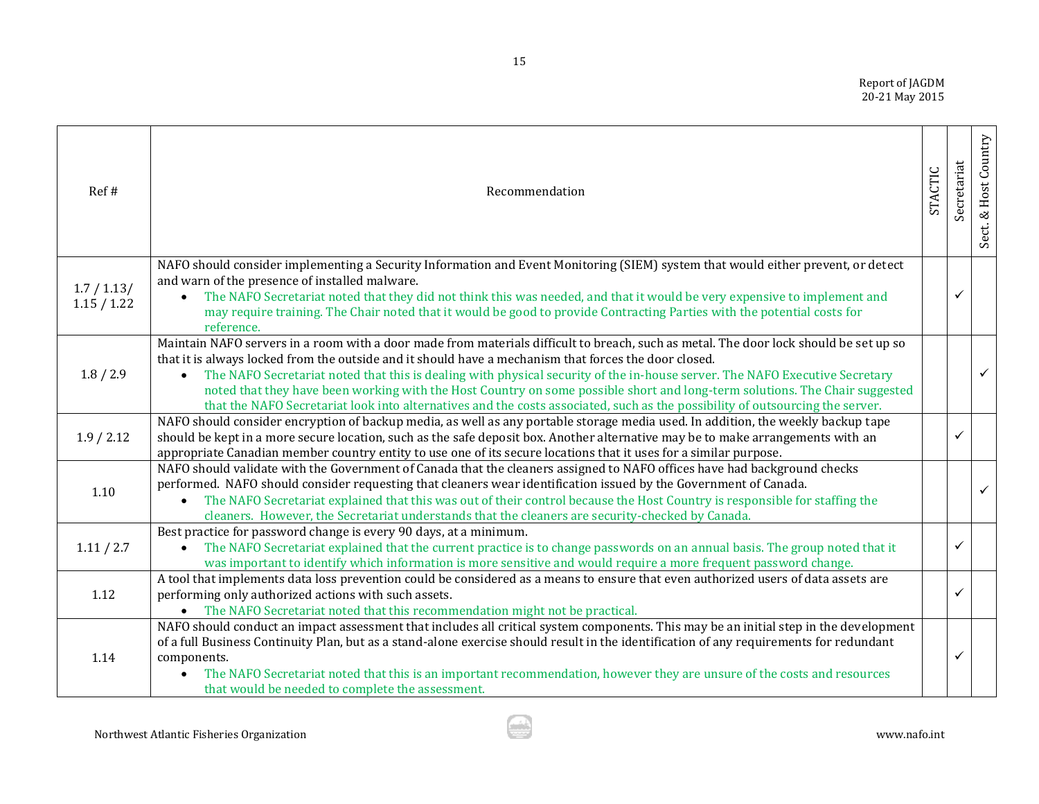Report of JAGDM 20-21 May 2015

| Ref#                       | Recommendation                                                                                                                                                                                                                                                                                                                                                                                                                                                                                                                                                                                                                                             | STACTIC | Secretariat | Sect. & Host Country |
|----------------------------|------------------------------------------------------------------------------------------------------------------------------------------------------------------------------------------------------------------------------------------------------------------------------------------------------------------------------------------------------------------------------------------------------------------------------------------------------------------------------------------------------------------------------------------------------------------------------------------------------------------------------------------------------------|---------|-------------|----------------------|
| 1.7 / 1.13/<br>1.15 / 1.22 | NAFO should consider implementing a Security Information and Event Monitoring (SIEM) system that would either prevent, or detect<br>and warn of the presence of installed malware.<br>The NAFO Secretariat noted that they did not think this was needed, and that it would be very expensive to implement and<br>may require training. The Chair noted that it would be good to provide Contracting Parties with the potential costs for<br>reference.                                                                                                                                                                                                    |         |             |                      |
| 1.8 / 2.9                  | Maintain NAFO servers in a room with a door made from materials difficult to breach, such as metal. The door lock should be set up so<br>that it is always locked from the outside and it should have a mechanism that forces the door closed.<br>The NAFO Secretariat noted that this is dealing with physical security of the in-house server. The NAFO Executive Secretary<br>$\bullet$<br>noted that they have been working with the Host Country on some possible short and long-term solutions. The Chair suggested<br>that the NAFO Secretariat look into alternatives and the costs associated, such as the possibility of outsourcing the server. |         |             | $\checkmark$         |
| 1.9 / 2.12                 | NAFO should consider encryption of backup media, as well as any portable storage media used. In addition, the weekly backup tape<br>should be kept in a more secure location, such as the safe deposit box. Another alternative may be to make arrangements with an<br>appropriate Canadian member country entity to use one of its secure locations that it uses for a similar purpose.                                                                                                                                                                                                                                                                   |         | ✓           |                      |
| 1.10                       | NAFO should validate with the Government of Canada that the cleaners assigned to NAFO offices have had background checks<br>performed. NAFO should consider requesting that cleaners wear identification issued by the Government of Canada.<br>The NAFO Secretariat explained that this was out of their control because the Host Country is responsible for staffing the<br>cleaners. However, the Secretariat understands that the cleaners are security-checked by Canada.                                                                                                                                                                             |         |             | $\checkmark$         |
| 1.11 / 2.7                 | Best practice for password change is every 90 days, at a minimum.<br>The NAFO Secretariat explained that the current practice is to change passwords on an annual basis. The group noted that it<br>was important to identify which information is more sensitive and would require a more frequent password change.                                                                                                                                                                                                                                                                                                                                       |         |             |                      |
| 1.12                       | A tool that implements data loss prevention could be considered as a means to ensure that even authorized users of data assets are<br>performing only authorized actions with such assets.<br>• The NAFO Secretariat noted that this recommendation might not be practical.                                                                                                                                                                                                                                                                                                                                                                                |         | ✓           |                      |
| 1.14                       | NAFO should conduct an impact assessment that includes all critical system components. This may be an initial step in the development<br>of a full Business Continuity Plan, but as a stand-alone exercise should result in the identification of any requirements for redundant<br>components.<br>The NAFO Secretariat noted that this is an important recommendation, however they are unsure of the costs and resources<br>that would be needed to complete the assessment.                                                                                                                                                                             |         | ✓           |                      |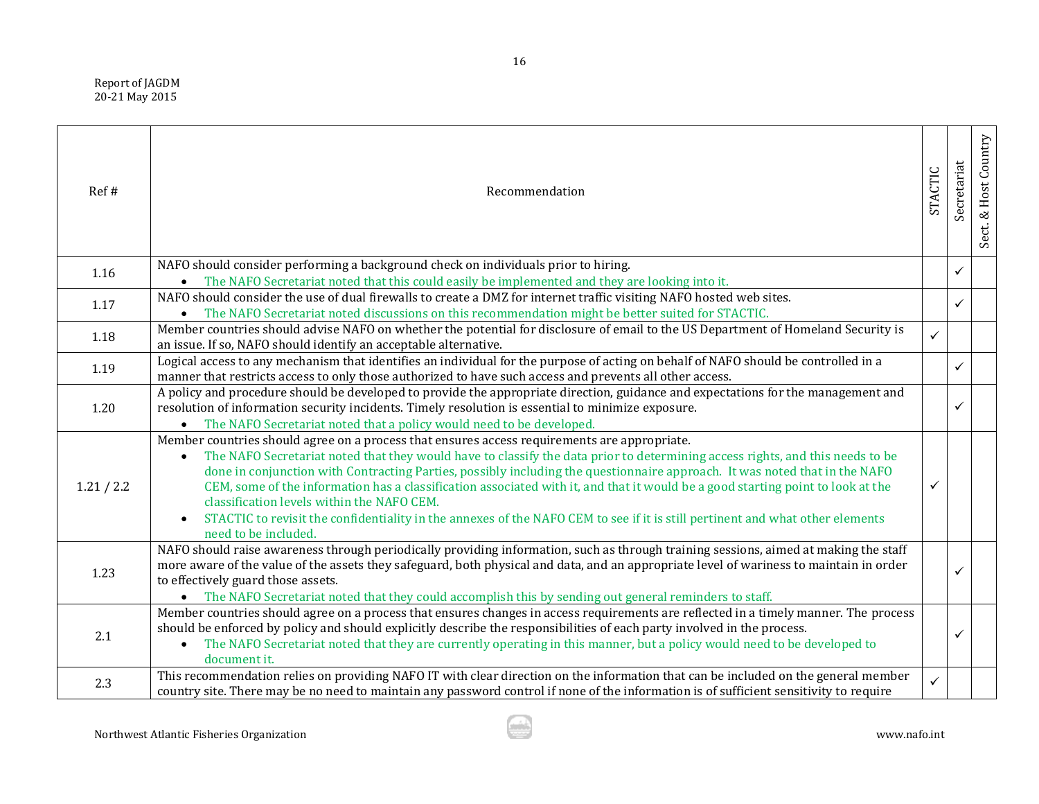Report of JAGDM 20-21 May 2015

| Ref#       | Recommendation                                                                                                                                                                                                                                                                                                                                                                                                                                                                                                                                                                                                                                                                                        | STACTIC      | Secretariat  | Sect. & Host Country |
|------------|-------------------------------------------------------------------------------------------------------------------------------------------------------------------------------------------------------------------------------------------------------------------------------------------------------------------------------------------------------------------------------------------------------------------------------------------------------------------------------------------------------------------------------------------------------------------------------------------------------------------------------------------------------------------------------------------------------|--------------|--------------|----------------------|
| 1.16       | NAFO should consider performing a background check on individuals prior to hiring.<br>The NAFO Secretariat noted that this could easily be implemented and they are looking into it.                                                                                                                                                                                                                                                                                                                                                                                                                                                                                                                  |              | ✓            |                      |
| 1.17       | NAFO should consider the use of dual firewalls to create a DMZ for internet traffic visiting NAFO hosted web sites.<br>The NAFO Secretariat noted discussions on this recommendation might be better suited for STACTIC.<br>$\bullet$                                                                                                                                                                                                                                                                                                                                                                                                                                                                 |              | $\checkmark$ |                      |
| 1.18       | Member countries should advise NAFO on whether the potential for disclosure of email to the US Department of Homeland Security is<br>an issue. If so, NAFO should identify an acceptable alternative.                                                                                                                                                                                                                                                                                                                                                                                                                                                                                                 | $\checkmark$ |              |                      |
| 1.19       | Logical access to any mechanism that identifies an individual for the purpose of acting on behalf of NAFO should be controlled in a<br>manner that restricts access to only those authorized to have such access and prevents all other access.                                                                                                                                                                                                                                                                                                                                                                                                                                                       |              | ✓            |                      |
| 1.20       | A policy and procedure should be developed to provide the appropriate direction, guidance and expectations for the management and<br>resolution of information security incidents. Timely resolution is essential to minimize exposure.<br>The NAFO Secretariat noted that a policy would need to be developed.                                                                                                                                                                                                                                                                                                                                                                                       |              | ✓            |                      |
| 1.21 / 2.2 | Member countries should agree on a process that ensures access requirements are appropriate.<br>The NAFO Secretariat noted that they would have to classify the data prior to determining access rights, and this needs to be<br>done in conjunction with Contracting Parties, possibly including the questionnaire approach. It was noted that in the NAFO<br>CEM, some of the information has a classification associated with it, and that it would be a good starting point to look at the<br>classification levels within the NAFO CEM.<br>STACTIC to revisit the confidentiality in the annexes of the NAFO CEM to see if it is still pertinent and what other elements<br>need to be included. | ✓            |              |                      |
| 1.23       | NAFO should raise awareness through periodically providing information, such as through training sessions, aimed at making the staff<br>more aware of the value of the assets they safeguard, both physical and data, and an appropriate level of wariness to maintain in order<br>to effectively guard those assets.<br>• The NAFO Secretariat noted that they could accomplish this by sending out general reminders to staff.                                                                                                                                                                                                                                                                      |              | ✓            |                      |
| 2.1        | Member countries should agree on a process that ensures changes in access requirements are reflected in a timely manner. The process<br>should be enforced by policy and should explicitly describe the responsibilities of each party involved in the process.<br>The NAFO Secretariat noted that they are currently operating in this manner, but a policy would need to be developed to<br>$\bullet$<br>document it.                                                                                                                                                                                                                                                                               |              | ✓            |                      |
| 2.3        | This recommendation relies on providing NAFO IT with clear direction on the information that can be included on the general member<br>country site. There may be no need to maintain any password control if none of the information is of sufficient sensitivity to require                                                                                                                                                                                                                                                                                                                                                                                                                          | $\checkmark$ |              |                      |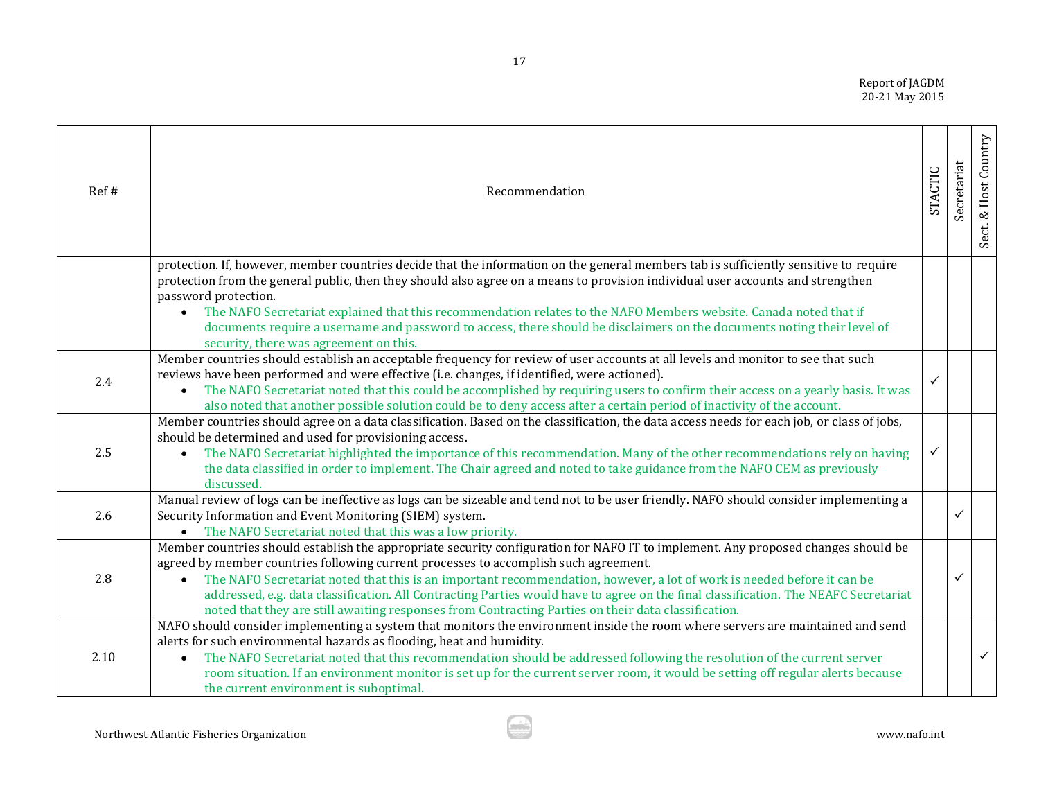Report of JAGDM 20-21 May 2015

| Ref# | Recommendation                                                                                                                                                                                                                                                                                                                                                                                                                                                                                                                                                                                                 | STACTIC | Secretariat | Host Country<br>Sect. & I |
|------|----------------------------------------------------------------------------------------------------------------------------------------------------------------------------------------------------------------------------------------------------------------------------------------------------------------------------------------------------------------------------------------------------------------------------------------------------------------------------------------------------------------------------------------------------------------------------------------------------------------|---------|-------------|---------------------------|
|      | protection. If, however, member countries decide that the information on the general members tab is sufficiently sensitive to require<br>protection from the general public, then they should also agree on a means to provision individual user accounts and strengthen<br>password protection.<br>The NAFO Secretariat explained that this recommendation relates to the NAFO Members website. Canada noted that if<br>$\bullet$<br>documents require a username and password to access, there should be disclaimers on the documents noting their level of<br>security, there was agreement on this.        |         |             |                           |
| 2.4  | Member countries should establish an acceptable frequency for review of user accounts at all levels and monitor to see that such<br>reviews have been performed and were effective (i.e. changes, if identified, were actioned).<br>The NAFO Secretariat noted that this could be accomplished by requiring users to confirm their access on a yearly basis. It was<br>$\bullet$<br>also noted that another possible solution could be to deny access after a certain period of inactivity of the account.                                                                                                     |         |             |                           |
| 2.5  | Member countries should agree on a data classification. Based on the classification, the data access needs for each job, or class of jobs,<br>should be determined and used for provisioning access.<br>The NAFO Secretariat highlighted the importance of this recommendation. Many of the other recommendations rely on having<br>the data classified in order to implement. The Chair agreed and noted to take guidance from the NAFO CEM as previously<br>discussed.                                                                                                                                       |         |             |                           |
| 2.6  | Manual review of logs can be ineffective as logs can be sizeable and tend not to be user friendly. NAFO should consider implementing a<br>Security Information and Event Monitoring (SIEM) system.<br>• The NAFO Secretariat noted that this was a low priority.                                                                                                                                                                                                                                                                                                                                               |         | ✓           |                           |
| 2.8  | Member countries should establish the appropriate security configuration for NAFO IT to implement. Any proposed changes should be<br>agreed by member countries following current processes to accomplish such agreement.<br>The NAFO Secretariat noted that this is an important recommendation, however, a lot of work is needed before it can be<br>$\bullet$<br>addressed, e.g. data classification. All Contracting Parties would have to agree on the final classification. The NEAFC Secretariat<br>noted that they are still awaiting responses from Contracting Parties on their data classification. |         |             |                           |
| 2.10 | NAFO should consider implementing a system that monitors the environment inside the room where servers are maintained and send<br>alerts for such environmental hazards as flooding, heat and humidity.<br>The NAFO Secretariat noted that this recommendation should be addressed following the resolution of the current server<br>room situation. If an environment monitor is set up for the current server room, it would be setting off regular alerts because<br>the current environment is suboptimal.                                                                                                 |         |             | $\checkmark$              |